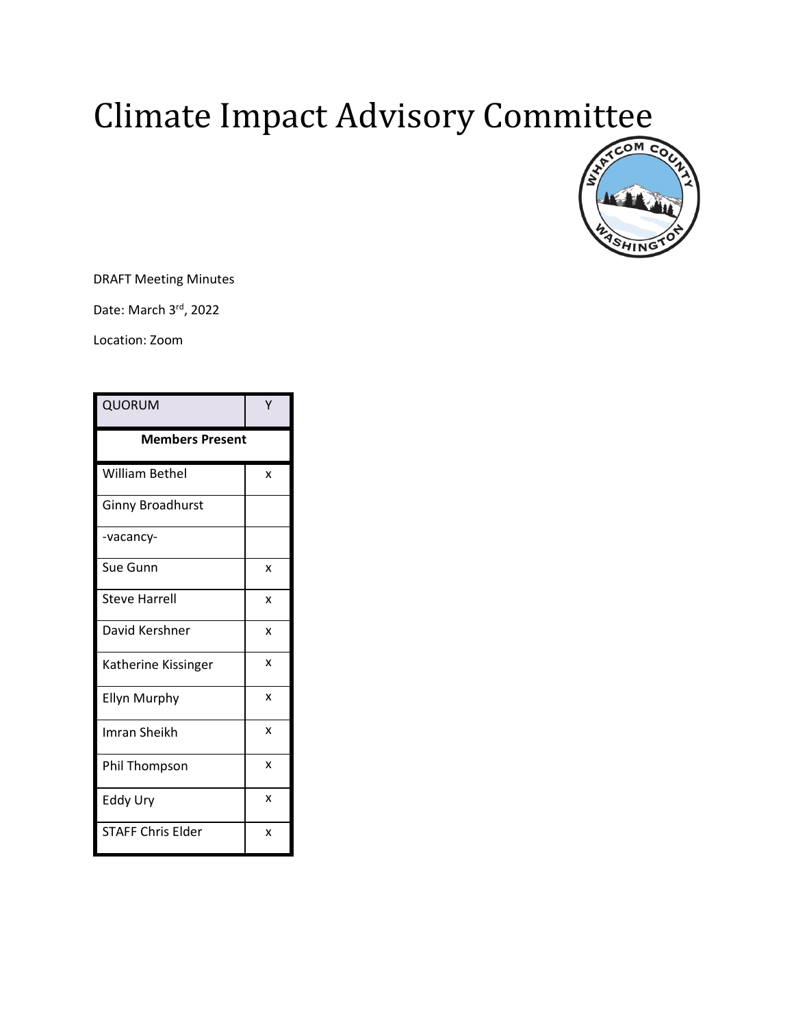# Climate Impact Advisory Committee



DRAFT Meeting Minutes

Date: March 3rd, 2022

Location: Zoom

| QUORUM                   |   |
|--------------------------|---|
| <b>Members Present</b>   |   |
| William Bethel           | X |
| <b>Ginny Broadhurst</b>  |   |
| -vacancy-                |   |
| Sue Gunn                 | X |
| <b>Steve Harrell</b>     | X |
| David Kershner           | X |
| Katherine Kissinger      | X |
| <b>Ellyn Murphy</b>      | X |
| Imran Sheikh             | X |
| <b>Phil Thompson</b>     | X |
| Eddy Ury                 | X |
| <b>STAFF Chris Elder</b> | X |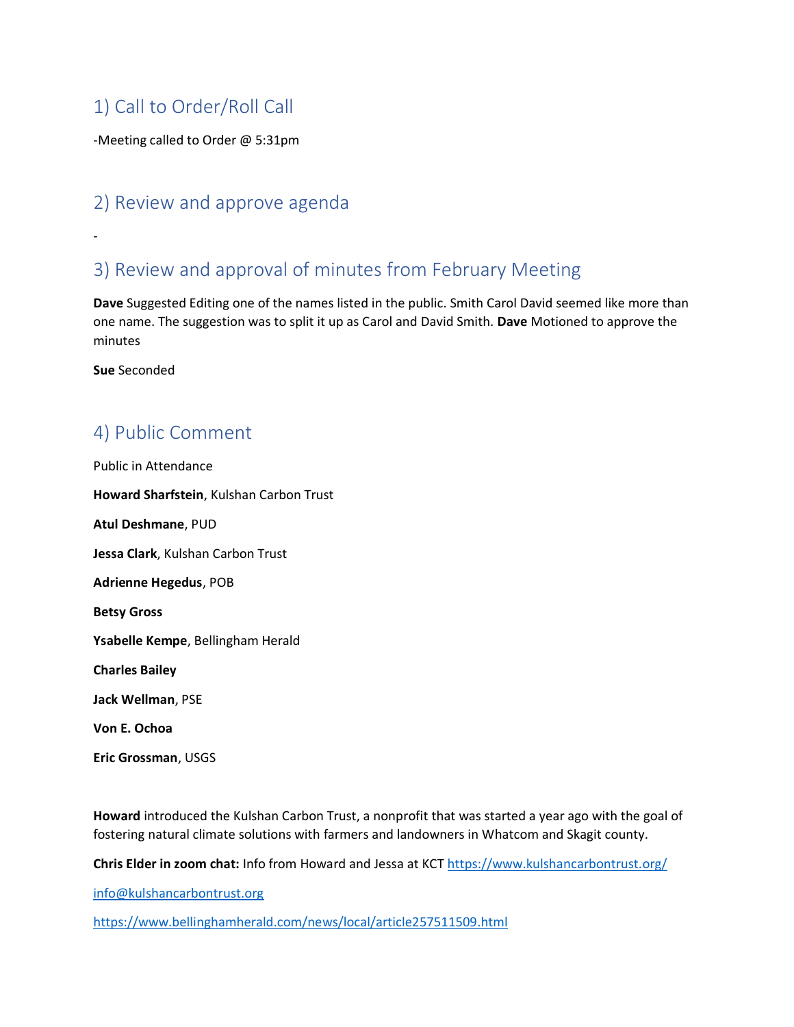## 1) Call to Order/Roll Call

-Meeting called to Order @ 5:31pm

#### 2) Review and approve agenda

## 3) Review and approval of minutes from February Meeting

**Dave** Suggested Editing one of the names listed in the public. Smith Carol David seemed like more than one name. The suggestion was to split it up as Carol and David Smith. **Dave** Motioned to approve the minutes

**Sue** Seconded

-

## 4) Public Comment

Public in Attendance **Howard Sharfstein**, Kulshan Carbon Trust **Atul Deshmane**, PUD **Jessa Clark**, Kulshan Carbon Trust **Adrienne Hegedus**, POB **Betsy Gross Ysabelle Kempe**, Bellingham Herald **Charles Bailey Jack Wellman**, PSE **Von E. Ochoa Eric Grossman**, USGS

**Howard** introduced the Kulshan Carbon Trust, a nonprofit that was started a year ago with the goal of fostering natural climate solutions with farmers and landowners in Whatcom and Skagit county.

**Chris Elder in zoom chat:** Info from Howard and Jessa at KCT <https://www.kulshancarbontrust.org/>

[info@kulshancarbontrust.org](mailto:info@kulshancarbontrust.org)

<https://www.bellinghamherald.com/news/local/article257511509.html>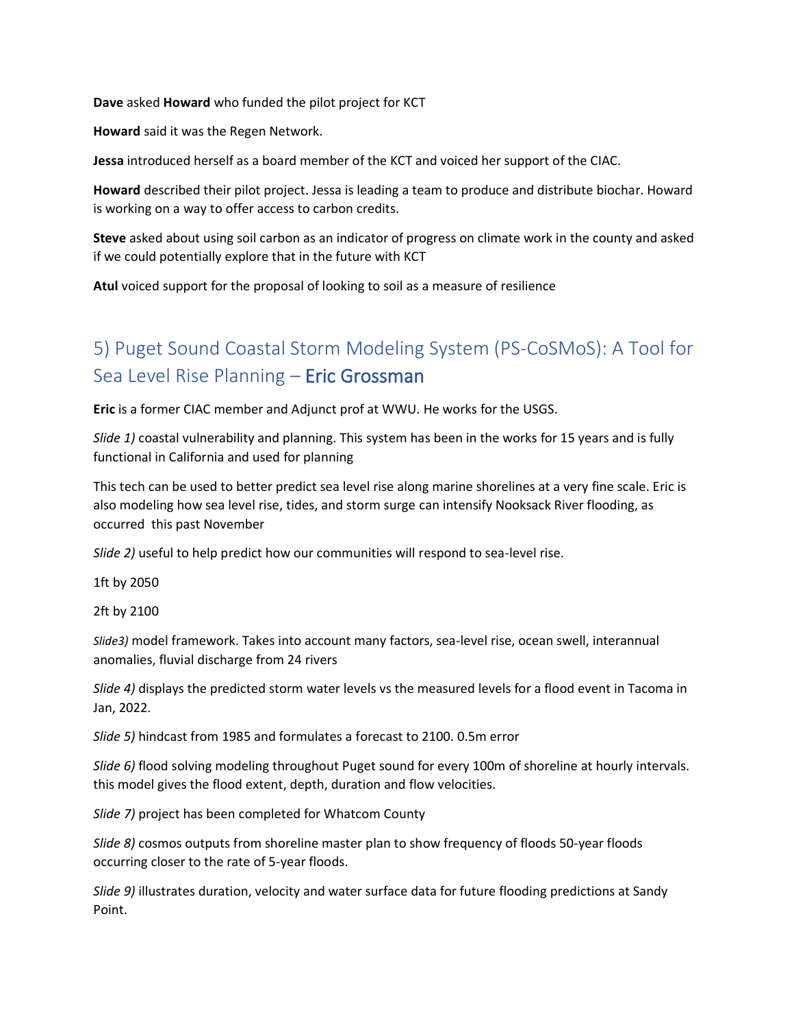**Dave** asked **Howard** who funded the pilot project for KCT

**Howard** said it was the Regen Network.

**Jessa** introduced herself as a board member of the KCT and voiced her support of the CIAC.

**Howard** described their pilot project. Jessa is leading a team to produce and distribute biochar. Howard is working on a way to offer access to carbon credits.

**Steve** asked about using soil carbon as an indicator of progress on climate work in the county and asked if we could potentially explore that in the future with KCT

**Atul** voiced support for the proposal of looking to soil as a measure of resilience

## 5) Puget Sound Coastal Storm Modeling System (PS-CoSMoS): A Tool for Sea Level Rise Planning – Eric Grossman

**Eric** is a former CIAC member and Adjunct prof at WWU. He works for the USGS.

*Slide 1)* coastal vulnerability and planning. This system has been in the works for 15 years and is fully functional in California and used for planning

This tech can be used to better predict sea level rise along marine shorelines at a very fine scale. Eric is also modeling how sea level rise, tides, and storm surge can intensify Nooksack River flooding, as occurred this past November

*Slide 2)* useful to help predict how our communities will respond to sea-level rise.

1ft by 2050

2ft by 2100

*Slide3)* model framework. Takes into account many factors, sea-level rise, ocean swell, interannual anomalies, fluvial discharge from 24 rivers

*Slide 4)* displays the predicted storm water levels vs the measured levels for a flood event in Tacoma in Jan, 2022.

*Slide 5)* hindcast from 1985 and formulates a forecast to 2100. 0.5m error

*Slide 6)* flood solving modeling throughout Puget sound for every 100m of shoreline at hourly intervals. this model gives the flood extent, depth, duration and flow velocities.

*Slide 7)* project has been completed for Whatcom County

*Slide 8)* cosmos outputs from shoreline master plan to show frequency of floods 50-year floods occurring closer to the rate of 5-year floods.

*Slide 9)* illustrates duration, velocity and water surface data for future flooding predictions at Sandy Point.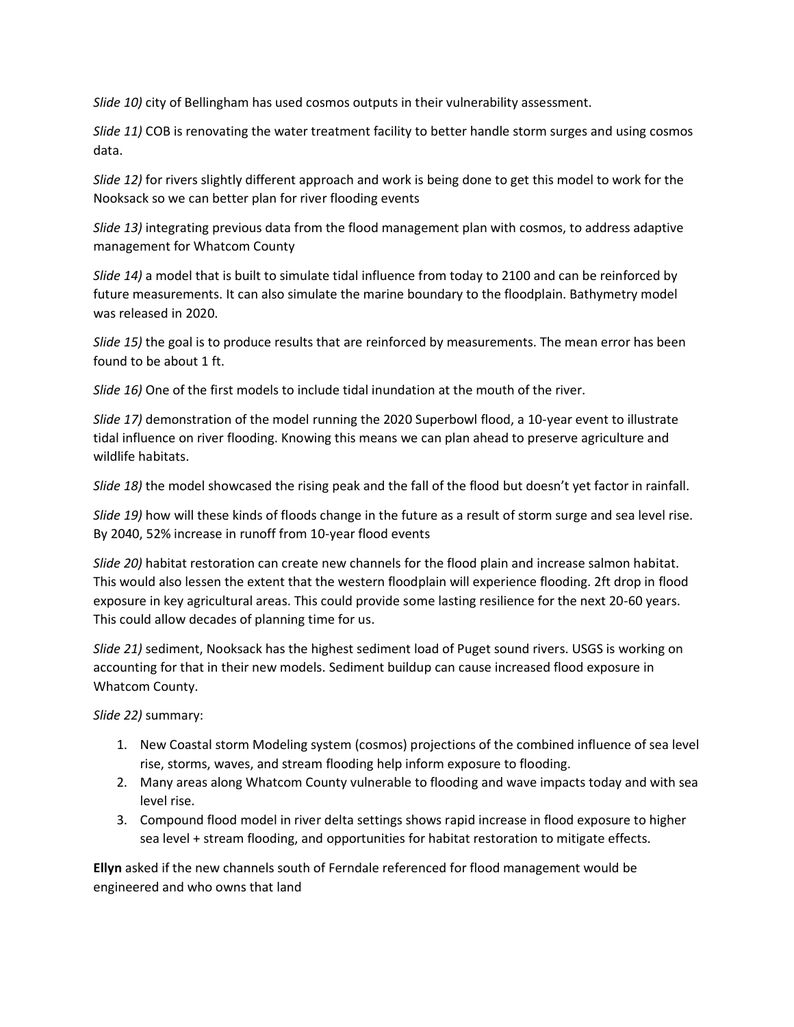*Slide 10)* city of Bellingham has used cosmos outputs in their vulnerability assessment.

*Slide 11)* COB is renovating the water treatment facility to better handle storm surges and using cosmos data.

*Slide 12)* for rivers slightly different approach and work is being done to get this model to work for the Nooksack so we can better plan for river flooding events

*Slide 13)* integrating previous data from the flood management plan with cosmos, to address adaptive management for Whatcom County

*Slide 14)* a model that is built to simulate tidal influence from today to 2100 and can be reinforced by future measurements. It can also simulate the marine boundary to the floodplain. Bathymetry model was released in 2020.

*Slide 15)* the goal is to produce results that are reinforced by measurements. The mean error has been found to be about 1 ft.

*Slide 16)* One of the first models to include tidal inundation at the mouth of the river.

*Slide 17)* demonstration of the model running the 2020 Superbowl flood, a 10-year event to illustrate tidal influence on river flooding. Knowing this means we can plan ahead to preserve agriculture and wildlife habitats.

*Slide 18)* the model showcased the rising peak and the fall of the flood but doesn't yet factor in rainfall.

*Slide 19)* how will these kinds of floods change in the future as a result of storm surge and sea level rise. By 2040, 52% increase in runoff from 10-year flood events

*Slide 20)* habitat restoration can create new channels for the flood plain and increase salmon habitat. This would also lessen the extent that the western floodplain will experience flooding. 2ft drop in flood exposure in key agricultural areas. This could provide some lasting resilience for the next 20-60 years. This could allow decades of planning time for us.

*Slide 21)* sediment, Nooksack has the highest sediment load of Puget sound rivers. USGS is working on accounting for that in their new models. Sediment buildup can cause increased flood exposure in Whatcom County.

*Slide 22)* summary:

- 1. New Coastal storm Modeling system (cosmos) projections of the combined influence of sea level rise, storms, waves, and stream flooding help inform exposure to flooding.
- 2. Many areas along Whatcom County vulnerable to flooding and wave impacts today and with sea level rise.
- 3. Compound flood model in river delta settings shows rapid increase in flood exposure to higher sea level + stream flooding, and opportunities for habitat restoration to mitigate effects.

**Ellyn** asked if the new channels south of Ferndale referenced for flood management would be engineered and who owns that land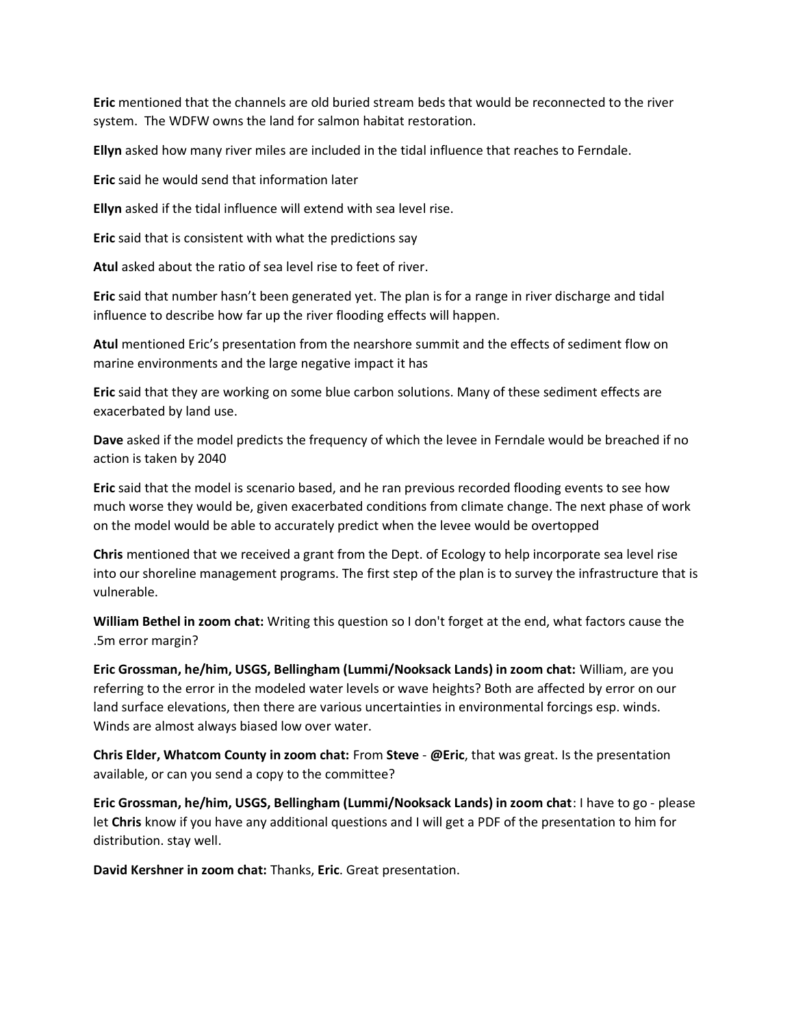**Eric** mentioned that the channels are old buried stream beds that would be reconnected to the river system. The WDFW owns the land for salmon habitat restoration.

**Ellyn** asked how many river miles are included in the tidal influence that reaches to Ferndale.

**Eric** said he would send that information later

**Ellyn** asked if the tidal influence will extend with sea level rise.

**Eric** said that is consistent with what the predictions say

**Atul** asked about the ratio of sea level rise to feet of river.

**Eric** said that number hasn't been generated yet. The plan is for a range in river discharge and tidal influence to describe how far up the river flooding effects will happen.

**Atul** mentioned Eric's presentation from the nearshore summit and the effects of sediment flow on marine environments and the large negative impact it has

**Eric** said that they are working on some blue carbon solutions. Many of these sediment effects are exacerbated by land use.

**Dave** asked if the model predicts the frequency of which the levee in Ferndale would be breached if no action is taken by 2040

**Eric** said that the model is scenario based, and he ran previous recorded flooding events to see how much worse they would be, given exacerbated conditions from climate change. The next phase of work on the model would be able to accurately predict when the levee would be overtopped

**Chris** mentioned that we received a grant from the Dept. of Ecology to help incorporate sea level rise into our shoreline management programs. The first step of the plan is to survey the infrastructure that is vulnerable.

**William Bethel in zoom chat:** Writing this question so I don't forget at the end, what factors cause the .5m error margin?

**Eric Grossman, he/him, USGS, Bellingham (Lummi/Nooksack Lands) in zoom chat:** William, are you referring to the error in the modeled water levels or wave heights? Both are affected by error on our land surface elevations, then there are various uncertainties in environmental forcings esp. winds. Winds are almost always biased low over water.

**Chris Elder, Whatcom County in zoom chat:** From **Steve** - **@Eric**, that was great. Is the presentation available, or can you send a copy to the committee?

**Eric Grossman, he/him, USGS, Bellingham (Lummi/Nooksack Lands) in zoom chat**: I have to go - please let **Chris** know if you have any additional questions and I will get a PDF of the presentation to him for distribution. stay well.

**David Kershner in zoom chat:** Thanks, **Eric**. Great presentation.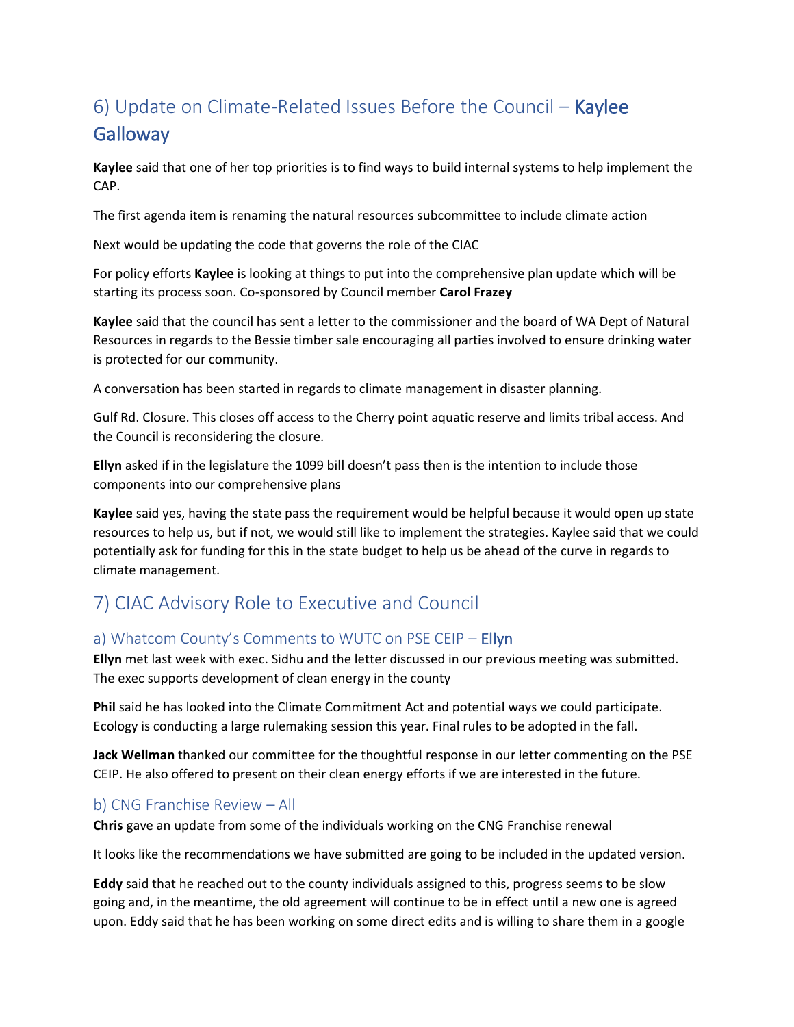# 6) Update on Climate-Related Issues Before the Council – Kaylee **Galloway**

**Kaylee** said that one of her top priorities is to find ways to build internal systems to help implement the CAP.

The first agenda item is renaming the natural resources subcommittee to include climate action

Next would be updating the code that governs the role of the CIAC

For policy efforts **Kaylee** is looking at things to put into the comprehensive plan update which will be starting its process soon. Co-sponsored by Council member **Carol Frazey**

**Kaylee** said that the council has sent a letter to the commissioner and the board of WA Dept of Natural Resources in regards to the Bessie timber sale encouraging all parties involved to ensure drinking water is protected for our community.

A conversation has been started in regards to climate management in disaster planning.

Gulf Rd. Closure. This closes off access to the Cherry point aquatic reserve and limits tribal access. And the Council is reconsidering the closure.

**Ellyn** asked if in the legislature the 1099 bill doesn't pass then is the intention to include those components into our comprehensive plans

**Kaylee** said yes, having the state pass the requirement would be helpful because it would open up state resources to help us, but if not, we would still like to implement the strategies. Kaylee said that we could potentially ask for funding for this in the state budget to help us be ahead of the curve in regards to climate management.

### 7) CIAC Advisory Role to Executive and Council

#### a) Whatcom County's Comments to WUTC on PSE CEIP – **Ellyn**

**Ellyn** met last week with exec. Sidhu and the letter discussed in our previous meeting was submitted. The exec supports development of clean energy in the county

**Phil** said he has looked into the Climate Commitment Act and potential ways we could participate. Ecology is conducting a large rulemaking session this year. Final rules to be adopted in the fall.

**Jack Wellman** thanked our committee for the thoughtful response in our letter commenting on the PSE CEIP. He also offered to present on their clean energy efforts if we are interested in the future.

#### b) CNG Franchise Review – All

**Chris** gave an update from some of the individuals working on the CNG Franchise renewal

It looks like the recommendations we have submitted are going to be included in the updated version.

**Eddy** said that he reached out to the county individuals assigned to this, progress seems to be slow going and, in the meantime, the old agreement will continue to be in effect until a new one is agreed upon. Eddy said that he has been working on some direct edits and is willing to share them in a google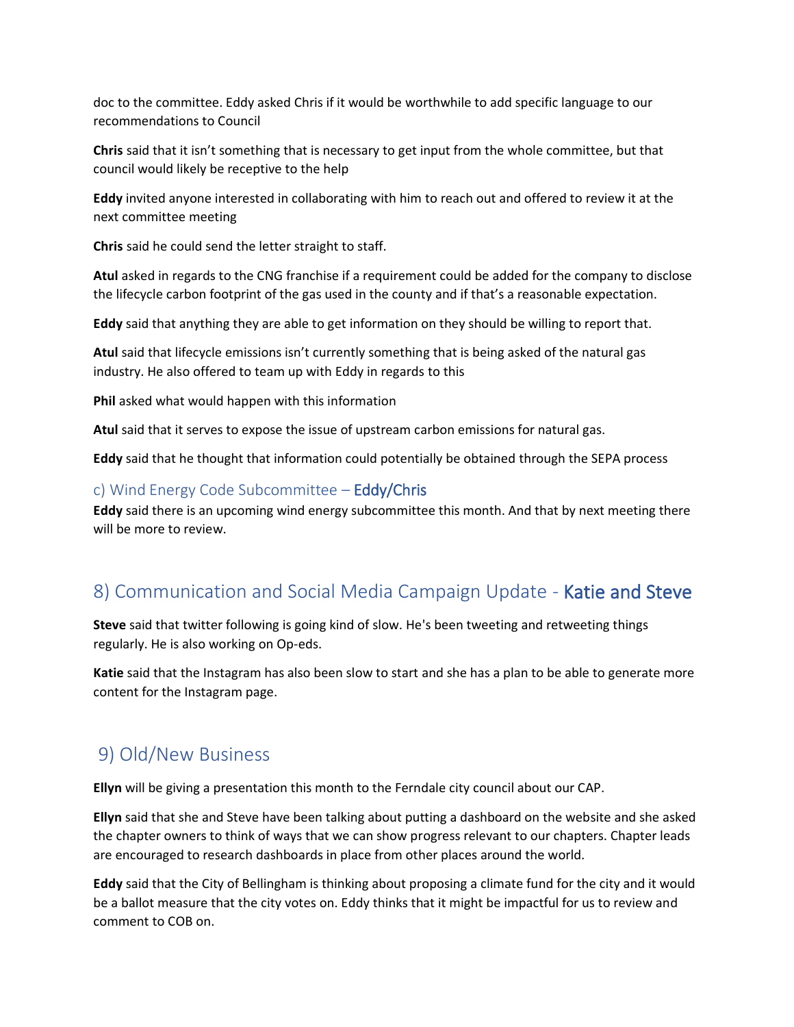doc to the committee. Eddy asked Chris if it would be worthwhile to add specific language to our recommendations to Council

**Chris** said that it isn't something that is necessary to get input from the whole committee, but that council would likely be receptive to the help

**Eddy** invited anyone interested in collaborating with him to reach out and offered to review it at the next committee meeting

**Chris** said he could send the letter straight to staff.

**Atul** asked in regards to the CNG franchise if a requirement could be added for the company to disclose the lifecycle carbon footprint of the gas used in the county and if that's a reasonable expectation.

**Eddy** said that anything they are able to get information on they should be willing to report that.

**Atul** said that lifecycle emissions isn't currently something that is being asked of the natural gas industry. He also offered to team up with Eddy in regards to this

**Phil** asked what would happen with this information

**Atul** said that it serves to expose the issue of upstream carbon emissions for natural gas.

**Eddy** said that he thought that information could potentially be obtained through the SEPA process

#### c) Wind Energy Code Subcommittee – Eddy/Chris

**Eddy** said there is an upcoming wind energy subcommittee this month. And that by next meeting there will be more to review.

### 8) Communication and Social Media Campaign Update - Katie and Steve

**Steve** said that twitter following is going kind of slow. He's been tweeting and retweeting things regularly. He is also working on Op-eds.

**Katie** said that the Instagram has also been slow to start and she has a plan to be able to generate more content for the Instagram page.

#### 9) Old/New Business

**Ellyn** will be giving a presentation this month to the Ferndale city council about our CAP.

**Ellyn** said that she and Steve have been talking about putting a dashboard on the website and she asked the chapter owners to think of ways that we can show progress relevant to our chapters. Chapter leads are encouraged to research dashboards in place from other places around the world.

**Eddy** said that the City of Bellingham is thinking about proposing a climate fund for the city and it would be a ballot measure that the city votes on. Eddy thinks that it might be impactful for us to review and comment to COB on.